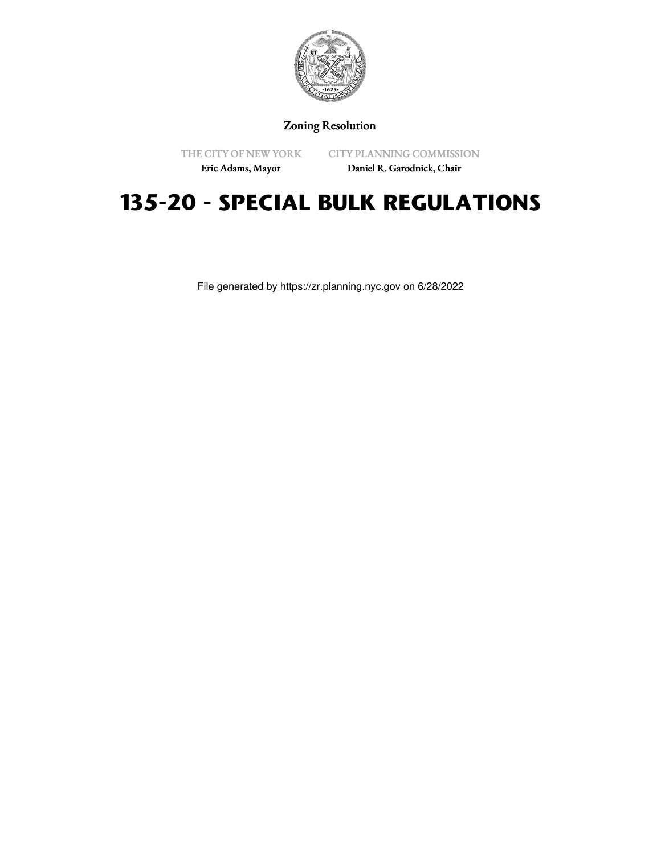

Zoning Resolution

THE CITY OF NEW YORK Eric Adams, Mayor

CITY PLANNING COMMISSION

# Daniel R. Garodnick, Chair

# **135-20 - SPECIAL BULK REGULATIONS**

File generated by https://zr.planning.nyc.gov on 6/28/2022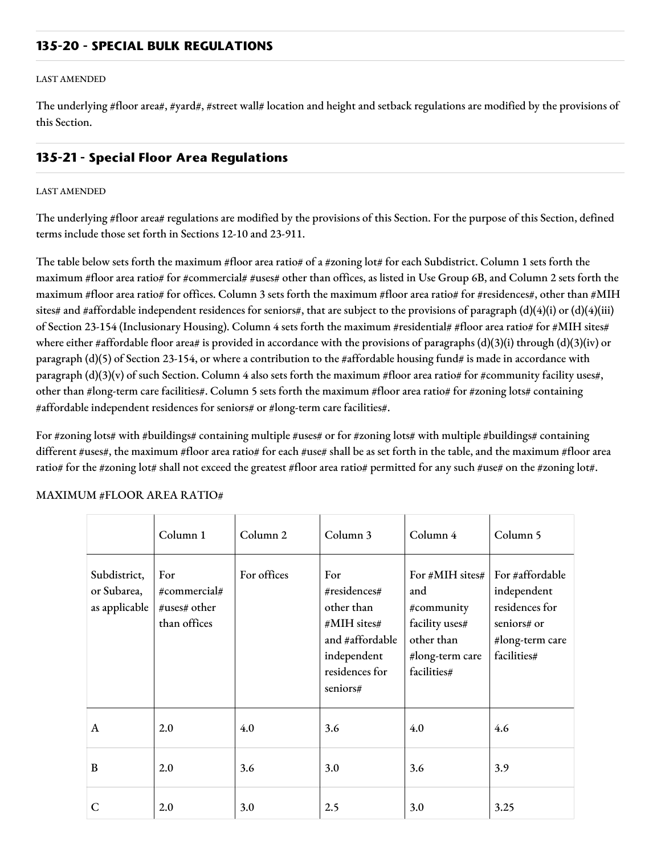## **135-20 - SPECIAL BULK REGULATIONS**

#### LAST AMENDED

The underlying #floor area#, #yard#, #street wall# location and height and setback regulations are modified by the provisions of this Section.

## **135-21 - Special Floor Area Regulations**

#### LAST AMENDED

The underlying #floor area# regulations are modified by the provisions of this Section. For the purpose of this Section, defined terms include those set forth in Sections 12-10 and 23-911.

The table below sets forth the maximum #floor area ratio# of a #zoning lot# for each Subdistrict. Column 1 sets forth the maximum #floor area ratio# for #commercial# #uses# other than offices, as listed in Use Group 6B, and Column 2 sets forth the maximum #floor area ratio# for offices. Column 3 sets forth the maximum #floor area ratio# for #residences#, other than #MIH sites# and #affordable independent residences for seniors#, that are subject to the provisions of paragraph (d)(4)(i) or (d)(4)(iii) of Section 23-154 (Inclusionary Housing). Column 4 sets forth the maximum #residential# #floor area ratio# for #MIH sites# where either #affordable floor area# is provided in accordance with the provisions of paragraphs (d)(3)(i) through (d)(3)(iv) or paragraph  $(d)(5)$  of Section 23-154, or where a contribution to the #affordable housing fund# is made in accordance with paragraph  $(d)(3)(v)$  of such Section. Column 4 also sets forth the maximum #floor area ratio# for #community facility uses#, other than #long-term care facilities#. Column 5 sets forth the maximum #floor area ratio# for #zoning lots# containing #affordable independent residences for seniors# or #long-term care facilities#.

For #zoning lots# with #buildings# containing multiple #uses# or for #zoning lots# with multiple #buildings# containing different #uses#, the maximum #floor area ratio# for each #use# shall be as set forth in the table, and the maximum #floor area ratio# for the #zoning lot# shall not exceed the greatest #floor area ratio# permitted for any such #use# on the #zoning lot#.

|                                              | Column 1                                            | Column <sub>2</sub> | Column 3                                                                                                         | Column 4                                                                                               | Column 5                                                                                          |
|----------------------------------------------|-----------------------------------------------------|---------------------|------------------------------------------------------------------------------------------------------------------|--------------------------------------------------------------------------------------------------------|---------------------------------------------------------------------------------------------------|
| Subdistrict,<br>or Subarea,<br>as applicable | For<br>#commercial#<br>#uses# other<br>than offices | For offices         | For<br>#residences#<br>other than<br>#MIH sites#<br>and #affordable<br>independent<br>residences for<br>seniors# | For #MIH sites#<br>and<br>#community<br>facility uses#<br>other than<br>#long-term care<br>facilities# | For #affordable<br>independent<br>residences for<br>seniors# or<br>#long-term care<br>facilities# |
| A                                            | 2.0                                                 | 4.0                 | 3.6                                                                                                              | 4.0                                                                                                    | 4.6                                                                                               |
| B                                            | 2.0                                                 | 3.6                 | 3.0                                                                                                              | 3.6                                                                                                    | 3.9                                                                                               |
| C                                            | 2.0                                                 | 3.0                 | 2.5                                                                                                              | 3.0                                                                                                    | 3.25                                                                                              |

## MAXIMUM #FLOOR AREA RATIO#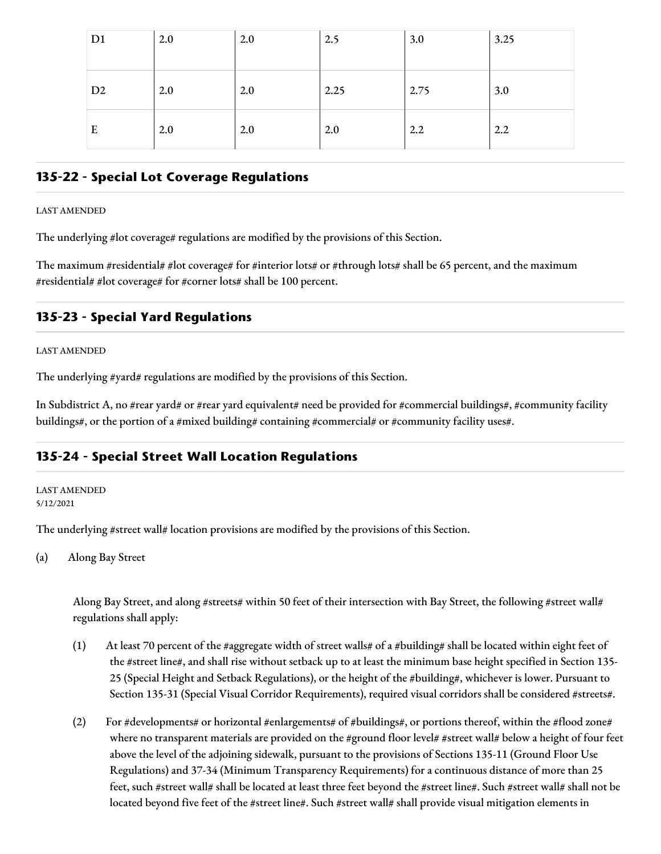| D <sub>1</sub> | 2.0 | 2.0 | 2.5  | 3.0  | 3.25 |
|----------------|-----|-----|------|------|------|
|                |     |     |      |      |      |
| D <sub>2</sub> | 2.0 | 2.0 | 2.25 | 2.75 | 3.0  |
| E              | 2.0 | 2.0 | 2.0  | 2.2  | 2.2  |

## **135-22 - Special Lot Coverage Regulations**

#### LAST AMENDED

The underlying #lot coverage# regulations are modified by the provisions of this Section.

The maximum #residential# #lot coverage# for #interior lots# or #through lots# shall be 65 percent, and the maximum #residential# #lot coverage# for #corner lots# shall be 100 percent.

# **135-23 - Special Yard Regulations**

#### LAST AMENDED

The underlying #yard# regulations are modified by the provisions of this Section.

In Subdistrict A, no #rear yard# or #rear yard equivalent# need be provided for #commercial buildings#, #community facility buildings#, or the portion of a #mixed building# containing #commercial# or #community facility uses#.

# **135-24 - Special Street Wall Location Regulations**

LAST AMENDED 5/12/2021

The underlying #street wall# location provisions are modified by the provisions of this Section.

(a) Along Bay Street

Along Bay Street, and along #streets# within 50 feet of their intersection with Bay Street, the following #street wall# regulations shall apply:

- (1) At least 70 percent of the #aggregate width of street walls# of a #building# shall be located within eight feet of the #street line#, and shall rise without setback up to at least the minimum base height specified in Section 135- 25 (Special Height and Setback Regulations), or the height of the #building#, whichever is lower. Pursuant to Section 135-31 (Special Visual Corridor Requirements), required visual corridors shall be considered #streets#.
- (2) For #developments# or horizontal #enlargements# of #buildings#, or portions thereof, within the #flood zone# where no transparent materials are provided on the #ground floor level# #street wall# below a height of four feet above the level of the adjoining sidewalk, pursuant to the provisions of Sections 135-11 (Ground Floor Use Regulations) and 37-34 (Minimum Transparency Requirements) for a continuous distance of more than 25 feet, such #street wall# shall be located at least three feet beyond the #street line#. Such #street wall# shall not be located beyond five feet of the #street line#. Such #street wall# shall provide visual mitigation elements in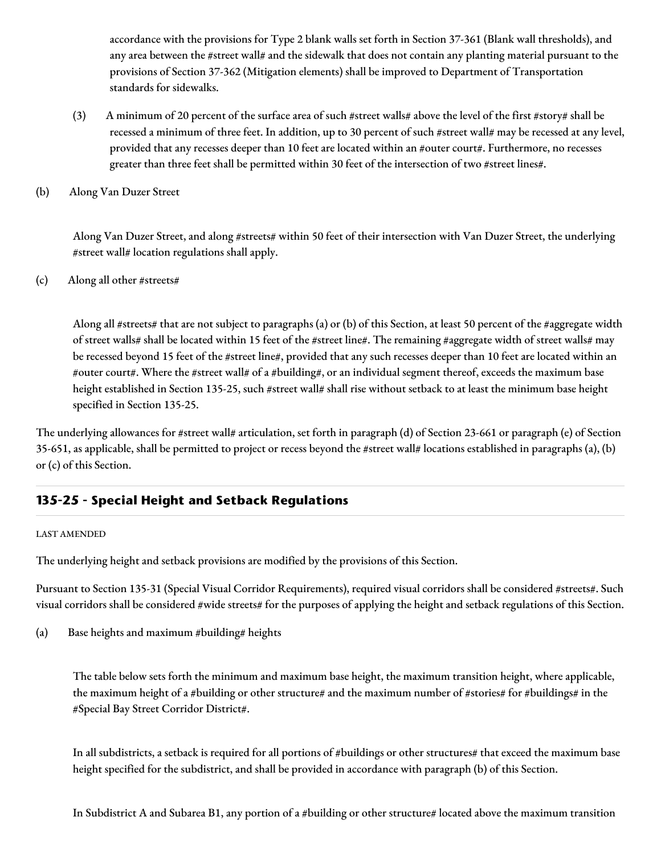accordance with the provisions for Type 2 blank walls set forth in Section 37-361 (Blank wall thresholds), and any area between the #street wall# and the sidewalk that does not contain any planting material pursuant to the provisions of Section 37-362 (Mitigation elements) shall be improved to Department of Transportation standards for sidewalks.

- (3) A minimum of 20 percent of the surface area of such #street walls# above the level of the first #story# shall be recessed a minimum of three feet. In addition, up to 30 percent of such #street wall# may be recessed at any level, provided that any recesses deeper than 10 feet are located within an #outer court#. Furthermore, no recesses greater than three feet shall be permitted within 30 feet of the intersection of two #street lines#.
- (b) Along Van Duzer Street

Along Van Duzer Street, and along #streets# within 50 feet of their intersection with Van Duzer Street, the underlying #street wall# location regulations shall apply.

(c) Along all other #streets#

Along all #streets# that are not subject to paragraphs (a) or (b) of this Section, at least 50 percent of the #aggregate width of street walls# shall be located within 15 feet of the #street line#. The remaining #aggregate width of street walls# may be recessed beyond 15 feet of the #street line#, provided that any such recesses deeper than 10 feet are located within an #outer court#. Where the #street wall# of a #building#, or an individual segment thereof, exceeds the maximum base height established in Section 135-25, such #street wall# shall rise without setback to at least the minimum base height specified in Section 135-25.

The underlying allowances for #street wall# articulation, set forth in paragraph (d) of Section 23-661 or paragraph (e) of Section 35-651, as applicable, shall be permitted to project or recess beyond the #street wall# locations established in paragraphs (a), (b) or (c) of this Section.

# **135-25 - Special Height and Setback Regulations**

## LAST AMENDED

The underlying height and setback provisions are modified by the provisions of this Section.

Pursuant to Section 135-31 (Special Visual Corridor Requirements), required visual corridors shall be considered #streets#. Such visual corridors shall be considered #wide streets# for the purposes of applying the height and setback regulations of this Section.

(a) Base heights and maximum #building# heights

The table below sets forth the minimum and maximum base height, the maximum transition height, where applicable, the maximum height of a #building or other structure# and the maximum number of #stories# for #buildings# in the #Special Bay Street Corridor District#.

In all subdistricts, a setback is required for all portions of #buildings or other structures# that exceed the maximum base height specified for the subdistrict, and shall be provided in accordance with paragraph (b) of this Section.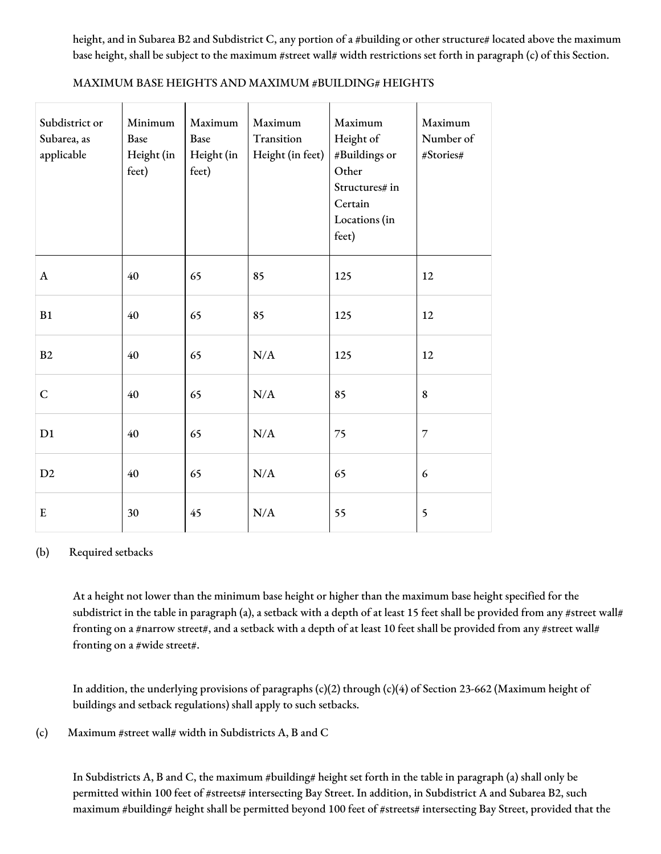height, and in Subarea B2 and Subdistrict C, any portion of a #building or other structure# located above the maximum base height, shall be subject to the maximum #street wall# width restrictions set forth in paragraph (c) of this Section.

| Subdistrict or<br>Subarea, as<br>applicable | Minimum<br>Base<br>Height (in<br>feet) | Maximum<br>Base<br>Height (in<br>feet) | Maximum<br>Transition<br>Height (in feet) | Maximum<br>Height of<br>#Buildings or<br>Other<br>Structures# in<br>Certain<br>Locations (in<br>feet) | Maximum<br>Number of<br>#Stories# |
|---------------------------------------------|----------------------------------------|----------------------------------------|-------------------------------------------|-------------------------------------------------------------------------------------------------------|-----------------------------------|
| A                                           | 40                                     | 65                                     | 85                                        | 125                                                                                                   | 12                                |
| B1                                          | 40                                     | 65                                     | 85                                        | 125                                                                                                   | 12                                |
| B2                                          | 40                                     | 65                                     | N/A                                       | 125                                                                                                   | 12                                |
| $\mathsf{C}$                                | 40                                     | 65                                     | N/A                                       | 85                                                                                                    | 8                                 |
| D1                                          | 40                                     | 65                                     | N/A                                       | 75                                                                                                    | $\overline{7}$                    |
| D2                                          | 40                                     | 65                                     | N/A                                       | 65                                                                                                    | $\epsilon$                        |
| ${\bf E}$                                   | 30                                     | 45                                     | N/A                                       | 55                                                                                                    | 5                                 |

## MAXIMUM BASE HEIGHTS AND MAXIMUM #BUILDING# HEIGHTS

## (b) Required setbacks

At a height not lower than the minimum base height or higher than the maximum base height specified for the subdistrict in the table in paragraph (a), a setback with a depth of at least 15 feet shall be provided from any #street wall# fronting on a #narrow street#, and a setback with a depth of at least 10 feet shall be provided from any #street wall# fronting on a #wide street#.

In addition, the underlying provisions of paragraphs  $(c)(2)$  through  $(c)(4)$  of Section 23-662 (Maximum height of buildings and setback regulations) shall apply to such setbacks.

(c) Maximum #street wall# width in Subdistricts A, B and C

In Subdistricts A, B and C, the maximum #building# height set forth in the table in paragraph (a) shall only be permitted within 100 feet of #streets# intersecting Bay Street. In addition, in Subdistrict A and Subarea B2, such maximum #building# height shall be permitted beyond 100 feet of #streets# intersecting Bay Street, provided that the